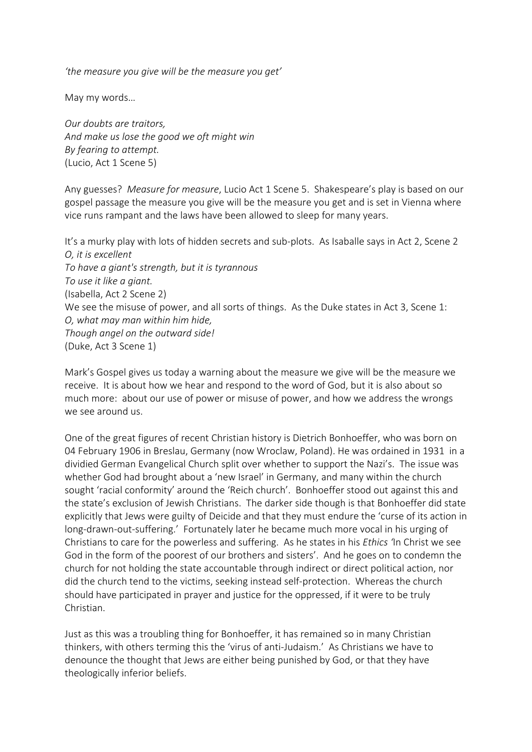*'the measure you give will be the measure you get'*

May my words…

*Our doubts are traitors, And make us lose the good we oft might win By fearing to attempt.* (Lucio, Act 1 Scene 5)

Any guesses? *Measure for measure*, Lucio Act 1 Scene 5. Shakespeare's play is based on our gospel passage the measure you give will be the measure you get and is set in Vienna where vice runs rampant and the laws have been allowed to sleep for many years.

It's a murky play with lots of hidden secrets and sub-plots. As Isaballe says in Act 2, Scene 2 *O, it is excellent To have a giant's strength, but it is tyrannous To use it like a giant.* (Isabella, Act 2 Scene 2) We see the misuse of power, and all sorts of things. As the Duke states in Act 3, Scene 1: *O, what may man within him hide, Though angel on the outward side!* (Duke, Act 3 Scene 1)

Mark's Gospel gives us today a warning about the measure we give will be the measure we receive. It is about how we hear and respond to the word of God, but it is also about so much more: about our use of power or misuse of power, and how we address the wrongs we see around us.

One of the great figures of recent Christian history is Dietrich Bonhoeffer, who was born on 04 February 1906 in Breslau, Germany (now Wroclaw, Poland). He was ordained in 1931 in a dividied German Evangelical Church split over whether to support the Nazi's. The issue was whether God had brought about a 'new Israel' in Germany, and many within the church sought 'racial conformity' around the 'Reich church'. Bonhoeffer stood out against this and the state's exclusion of Jewish Christians. The darker side though is that Bonhoeffer did state explicitly that Jews were guilty of Deicide and that they must endure the 'curse of its action in long-drawn-out-suffering.' Fortunately later he became much more vocal in his urging of Christians to care for the powerless and suffering. As he states in his *Ethics '*In Christ we see God in the form of the poorest of our brothers and sisters'. And he goes on to condemn the church for not holding the state accountable through indirect or direct political action, nor did the church tend to the victims, seeking instead self-protection. Whereas the church should have participated in prayer and justice for the oppressed, if it were to be truly Christian.

Just as this was a troubling thing for Bonhoeffer, it has remained so in many Christian thinkers, with others terming this the 'virus of anti-Judaism.' As Christians we have to denounce the thought that Jews are either being punished by God, or that they have theologically inferior beliefs.